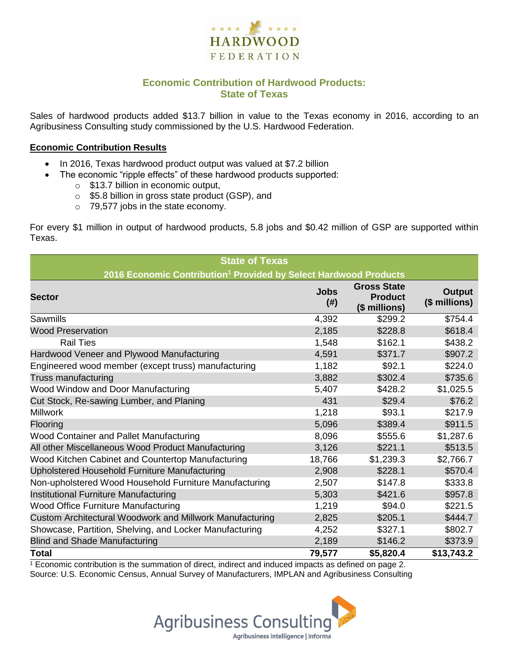

## **Economic Contribution of Hardwood Products: State of Texas**

Sales of hardwood products added \$13.7 billion in value to the Texas economy in 2016, according to an Agribusiness Consulting study commissioned by the U.S. Hardwood Federation.

#### **Economic Contribution Results**

- In 2016, Texas hardwood product output was valued at \$7.2 billion
	- The economic "ripple effects" of these hardwood products supported:
		- o \$13.7 billion in economic output,
		- o \$5.8 billion in gross state product (GSP), and
		- o 79,577 jobs in the state economy.

For every \$1 million in output of hardwood products, 5.8 jobs and \$0.42 million of GSP are supported within Texas.

| <b>State of Texas</b>                                                        |                     |                                                       |                         |  |  |  |
|------------------------------------------------------------------------------|---------------------|-------------------------------------------------------|-------------------------|--|--|--|
| 2016 Economic Contribution <sup>1</sup> Provided by Select Hardwood Products |                     |                                                       |                         |  |  |  |
| <b>Sector</b>                                                                | <b>Jobs</b><br>(# ) | <b>Gross State</b><br><b>Product</b><br>(\$ millions) | Output<br>(\$ millions) |  |  |  |
| <b>Sawmills</b>                                                              | 4,392               | \$299.2                                               | \$754.4                 |  |  |  |
| <b>Wood Preservation</b>                                                     | 2,185               | \$228.8                                               | \$618.4                 |  |  |  |
| <b>Rail Ties</b>                                                             | 1,548               | \$162.1                                               | \$438.2                 |  |  |  |
| Hardwood Veneer and Plywood Manufacturing                                    | 4,591               | \$371.7                                               | \$907.2                 |  |  |  |
| Engineered wood member (except truss) manufacturing                          | 1,182               | \$92.1                                                | \$224.0                 |  |  |  |
| Truss manufacturing                                                          | 3,882               | \$302.4                                               | \$735.6                 |  |  |  |
| Wood Window and Door Manufacturing                                           | 5,407               | \$428.2                                               | \$1,025.5               |  |  |  |
| Cut Stock, Re-sawing Lumber, and Planing                                     | 431                 | \$29.4                                                | \$76.2                  |  |  |  |
| <b>Millwork</b>                                                              | 1,218               | \$93.1                                                | \$217.9                 |  |  |  |
| Flooring                                                                     | 5,096               | \$389.4                                               | \$911.5                 |  |  |  |
| Wood Container and Pallet Manufacturing                                      | 8,096               | \$555.6                                               | \$1,287.6               |  |  |  |
| All other Miscellaneous Wood Product Manufacturing                           | 3,126               | \$221.1                                               | \$513.5                 |  |  |  |
| Wood Kitchen Cabinet and Countertop Manufacturing                            | 18,766              | \$1,239.3                                             | \$2,766.7               |  |  |  |
| Upholstered Household Furniture Manufacturing                                | 2,908               | \$228.1                                               | \$570.4                 |  |  |  |
| Non-upholstered Wood Household Furniture Manufacturing                       | 2,507               | \$147.8                                               | \$333.8                 |  |  |  |
| Institutional Furniture Manufacturing                                        | 5,303               | \$421.6                                               | \$957.8                 |  |  |  |
| <b>Wood Office Furniture Manufacturing</b>                                   | 1,219               | \$94.0                                                | \$221.5                 |  |  |  |
| Custom Architectural Woodwork and Millwork Manufacturing                     | 2,825               | \$205.1                                               | \$444.7                 |  |  |  |
| Showcase, Partition, Shelving, and Locker Manufacturing                      | 4,252               | \$327.1                                               | \$802.7                 |  |  |  |
| <b>Blind and Shade Manufacturing</b>                                         | 2,189               | \$146.2                                               | \$373.9                 |  |  |  |
| <b>Total</b>                                                                 | 79,577              | \$5,820.4                                             | \$13,743.2              |  |  |  |

 $1$  Economic contribution is the summation of direct, indirect and induced impacts as defined on page 2. Source: U.S. Economic Census, Annual Survey of Manufacturers, IMPLAN and Agribusiness Consulting